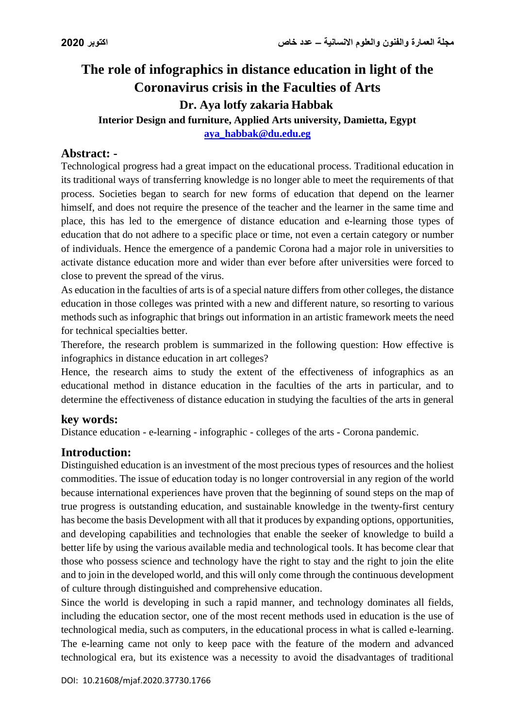# **The role of infographics in distance education in light of the Coronavirus crisis in the Faculties of Arts Dr. Aya lotfy zakaria Habbak Interior Design and furniture, Applied Arts university, Damietta, Egypt**

**[aya\\_habbak@du.edu.eg](mailto:aya_habbak@du.edu.eg)**

## **Abstract: -**

Technological progress had a great impact on the educational process. Traditional education in its traditional ways of transferring knowledge is no longer able to meet the requirements of that process. Societies began to search for new forms of education that depend on the learner himself, and does not require the presence of the teacher and the learner in the same time and place, this has led to the emergence of distance education and e-learning those types of education that do not adhere to a specific place or time, not even a certain category or number of individuals. Hence the emergence of a pandemic Corona had a major role in universities to activate distance education more and wider than ever before after universities were forced to close to prevent the spread of the virus.

As education in the faculties of arts is of a special nature differs from other colleges, the distance education in those colleges was printed with a new and different nature, so resorting to various methods such as infographic that brings out information in an artistic framework meets the need for technical specialties better.

Therefore, the research problem is summarized in the following question: How effective is infographics in distance education in art colleges?

Hence, the research aims to study the extent of the effectiveness of infographics as an educational method in distance education in the faculties of the arts in particular, and to determine the effectiveness of distance education in studying the faculties of the arts in general

## **key words:**

Distance education - e-learning - infographic - colleges of the arts - Corona pandemic.

## **Introduction:**

Distinguished education is an investment of the most precious types of resources and the holiest commodities. The issue of education today is no longer controversial in any region of the world because international experiences have proven that the beginning of sound steps on the map of true progress is outstanding education, and sustainable knowledge in the twenty-first century has become the basis Development with all that it produces by expanding options, opportunities, and developing capabilities and technologies that enable the seeker of knowledge to build a better life by using the various available media and technological tools. It has become clear that those who possess science and technology have the right to stay and the right to join the elite and to join in the developed world, and this will only come through the continuous development of culture through distinguished and comprehensive education.

Since the world is developing in such a rapid manner, and technology dominates all fields, including the education sector, one of the most recent methods used in education is the use of technological media, such as computers, in the educational process in what is called e-learning. The e-learning came not only to keep pace with the feature of the modern and advanced technological era, but its existence was a necessity to avoid the disadvantages of traditional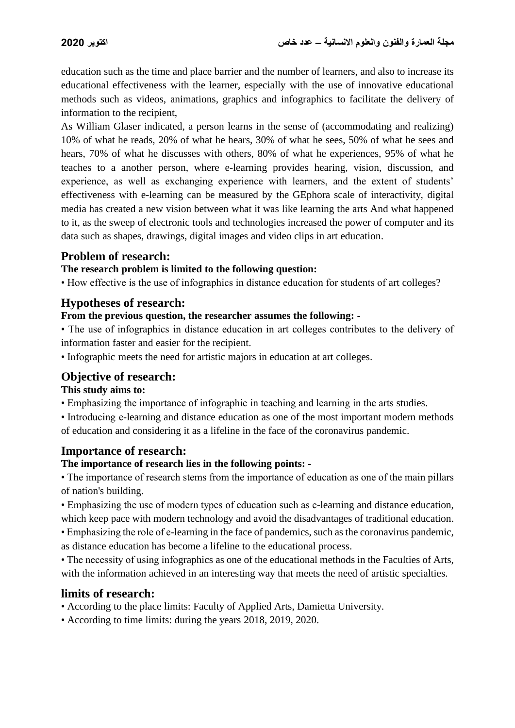education such as the time and place barrier and the number of learners, and also to increase its educational effectiveness with the learner, especially with the use of innovative educational methods such as videos, animations, graphics and infographics to facilitate the delivery of information to the recipient,

As William Glaser indicated, a person learns in the sense of (accommodating and realizing) 10% of what he reads, 20% of what he hears, 30% of what he sees, 50% of what he sees and hears, 70% of what he discusses with others, 80% of what he experiences, 95% of what he teaches to a another person, where e-learning provides hearing, vision, discussion, and experience, as well as exchanging experience with learners, and the extent of students' effectiveness with e-learning can be measured by the GEphora scale of interactivity, digital media has created a new vision between what it was like learning the arts And what happened to it, as the sweep of electronic tools and technologies increased the power of computer and its data such as shapes, drawings, digital images and video clips in art education.

## **Problem of research:**

#### **The research problem is limited to the following question:**

• How effective is the use of infographics in distance education for students of art colleges?

## **Hypotheses of research:**

#### **From the previous question, the researcher assumes the following: -**

• The use of infographics in distance education in art colleges contributes to the delivery of information faster and easier for the recipient.

• Infographic meets the need for artistic majors in education at art colleges.

# **Objective of research:**

**This study aims to:** 

• Emphasizing the importance of infographic in teaching and learning in the arts studies.

• Introducing e-learning and distance education as one of the most important modern methods of education and considering it as a lifeline in the face of the coronavirus pandemic.

## **Importance of research:**

## **The importance of research lies in the following points: -**

• The importance of research stems from the importance of education as one of the main pillars of nation's building.

• Emphasizing the use of modern types of education such as e-learning and distance education, which keep pace with modern technology and avoid the disadvantages of traditional education.

• Emphasizing the role of e-learning in the face of pandemics, such as the coronavirus pandemic, as distance education has become a lifeline to the educational process.

• The necessity of using infographics as one of the educational methods in the Faculties of Arts, with the information achieved in an interesting way that meets the need of artistic specialties.

## **limits of research:**

• According to the place limits: Faculty of Applied Arts, Damietta University.

• According to time limits: during the years 2018, 2019, 2020.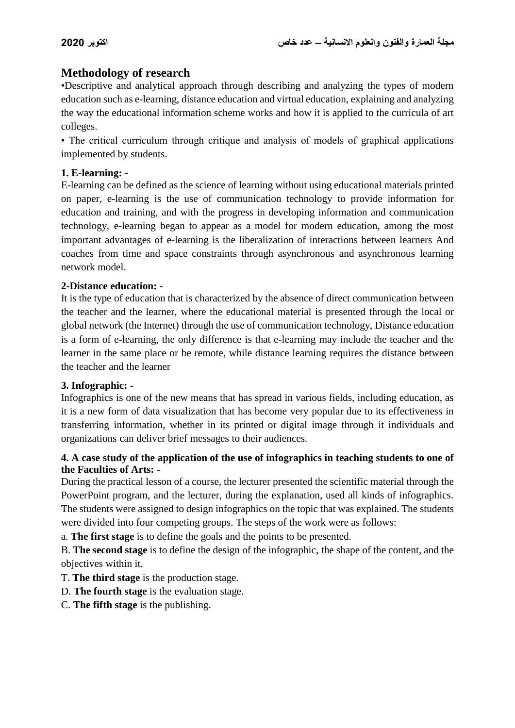# **Methodology of research**

•Descriptive and analytical approach through describing and analyzing the types of modern education such as e-learning, distance education and virtual education, explaining and analyzing the way the educational information scheme works and how it is applied to the curricula of art colleges.

• The critical curriculum through critique and analysis of models of graphical applications implemented by students.

#### **1. E-learning: -**

E-learning can be defined as the science of learning without using educational materials printed on paper, e-learning is the use of communication technology to provide information for education and training, and with the progress in developing information and communication technology, e-learning began to appear as a model for modern education, among the most important advantages of e-learning is the liberalization of interactions between learners And coaches from time and space constraints through asynchronous and asynchronous learning network model.

#### **2-Distance education: -**

It is the type of education that is characterized by the absence of direct communication between the teacher and the learner, where the educational material is presented through the local or global network (the Internet) through the use of communication technology, Distance education is a form of e-learning, the only difference is that e-learning may include the teacher and the learner in the same place or be remote, while distance learning requires the distance between the teacher and the learner

#### **3. Infographic: -**

Infographics is one of the new means that has spread in various fields, including education, as it is a new form of data visualization that has become very popular due to its effectiveness in transferring information, whether in its printed or digital image through it individuals and organizations can deliver brief messages to their audiences.

#### **4. A case study of the application of the use of infographics in teaching students to one of the Faculties of Arts: -**

During the practical lesson of a course, the lecturer presented the scientific material through the PowerPoint program, and the lecturer, during the explanation, used all kinds of infographics. The students were assigned to design infographics on the topic that was explained. The students were divided into four competing groups. The steps of the work were as follows:

a. **The first stage** is to define the goals and the points to be presented.

B. **The second stage** is to define the design of the infographic, the shape of the content, and the objectives within it.

T. **The third stage** is the production stage.

D. **The fourth stage** is the evaluation stage.

C. **The fifth stage** is the publishing.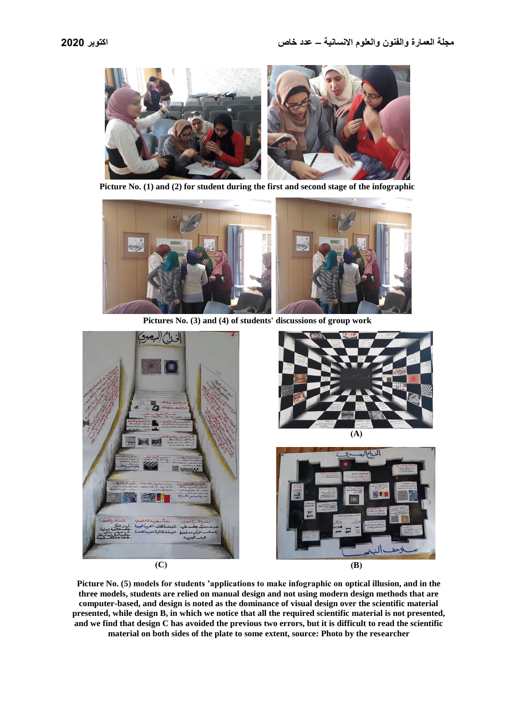

**Picture No. (1) and (2) for student during the first and second stage of the infographic** 



**Pictures No. (3) and (4) of students' discussions of group work**







**Picture No. (5) models for students 'applications to make infographic on optical illusion, and in the three models, students are relied on manual design and not using modern design methods that are computer-based, and design is noted as the dominance of visual design over the scientific material presented, while design B, in which we notice that all the required scientific material is not presented, and we find that design C has avoided the previous two errors, but it is difficult to read the scientific material on both sides of the plate to some extent, source: Photo by the researcher**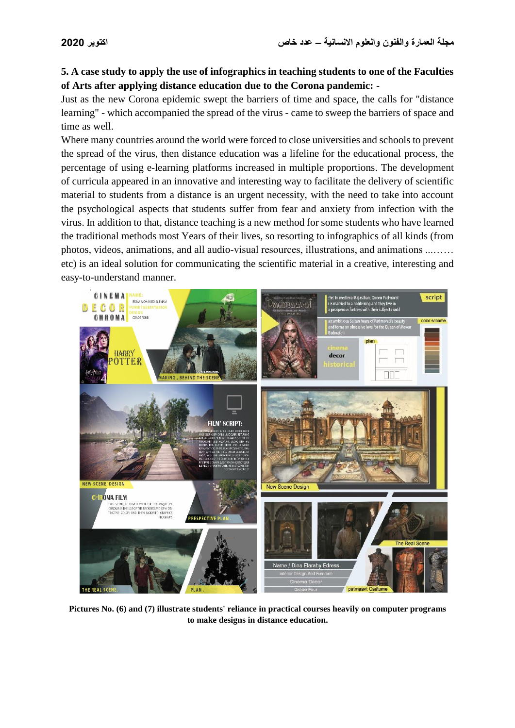#### **5. A case study to apply the use of infographics in teaching students to one of the Faculties of Arts after applying distance education due to the Corona pandemic: -**

Just as the new Corona epidemic swept the barriers of time and space, the calls for "distance learning" - which accompanied the spread of the virus - came to sweep the barriers of space and time as well.

Where many countries around the world were forced to close universities and schools to prevent the spread of the virus, then distance education was a lifeline for the educational process, the percentage of using e-learning platforms increased in multiple proportions. The development of curricula appeared in an innovative and interesting way to facilitate the delivery of scientific material to students from a distance is an urgent necessity, with the need to take into account the psychological aspects that students suffer from fear and anxiety from infection with the virus. In addition to that, distance teaching is a new method for some students who have learned the traditional methods most Years of their lives, so resorting to infographics of all kinds (from photos, videos, animations, and all audio-visual resources, illustrations, and animations ...…… etc) is an ideal solution for communicating the scientific material in a creative, interesting and easy-to-understand manner.



**Pictures No. (6) and (7) illustrate students' reliance in practical courses heavily on computer programs to make designs in distance education.**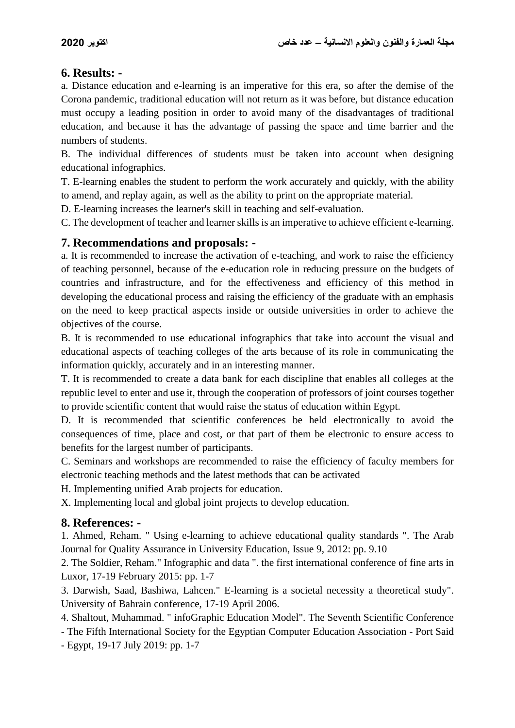## **6. Results: -**

a. Distance education and e-learning is an imperative for this era, so after the demise of the Corona pandemic, traditional education will not return as it was before, but distance education must occupy a leading position in order to avoid many of the disadvantages of traditional education, and because it has the advantage of passing the space and time barrier and the numbers of students.

B. The individual differences of students must be taken into account when designing educational infographics.

T. E-learning enables the student to perform the work accurately and quickly, with the ability to amend, and replay again, as well as the ability to print on the appropriate material.

D. E-learning increases the learner's skill in teaching and self-evaluation.

C. The development of teacher and learner skills is an imperative to achieve efficient e-learning.

#### **7. Recommendations and proposals: -**

a. It is recommended to increase the activation of e-teaching, and work to raise the efficiency of teaching personnel, because of the e-education role in reducing pressure on the budgets of countries and infrastructure, and for the effectiveness and efficiency of this method in developing the educational process and raising the efficiency of the graduate with an emphasis on the need to keep practical aspects inside or outside universities in order to achieve the objectives of the course.

B. It is recommended to use educational infographics that take into account the visual and educational aspects of teaching colleges of the arts because of its role in communicating the information quickly, accurately and in an interesting manner.

T. It is recommended to create a data bank for each discipline that enables all colleges at the republic level to enter and use it, through the cooperation of professors of joint courses together to provide scientific content that would raise the status of education within Egypt.

D. It is recommended that scientific conferences be held electronically to avoid the consequences of time, place and cost, or that part of them be electronic to ensure access to benefits for the largest number of participants.

C. Seminars and workshops are recommended to raise the efficiency of faculty members for electronic teaching methods and the latest methods that can be activated

H. Implementing unified Arab projects for education.

X. Implementing local and global joint projects to develop education.

## **8. References: -**

1. Ahmed, Reham. " Using e-learning to achieve educational quality standards ". The Arab Journal for Quality Assurance in University Education, Issue 9, 2012: pp. 9.10

2. The Soldier, Reham." Infographic and data ". the first international conference of fine arts in Luxor, 17-19 February 2015: pp. 1-7

3. Darwish, Saad, Bashiwa, Lahcen." E-learning is a societal necessity a theoretical study". University of Bahrain conference, 17-19 April 2006.

4. Shaltout, Muhammad. " infoGraphic Education Model". The Seventh Scientific Conference

- The Fifth International Society for the Egyptian Computer Education Association - Port Said

- Egypt, 19-17 July 2019: pp. 1-7